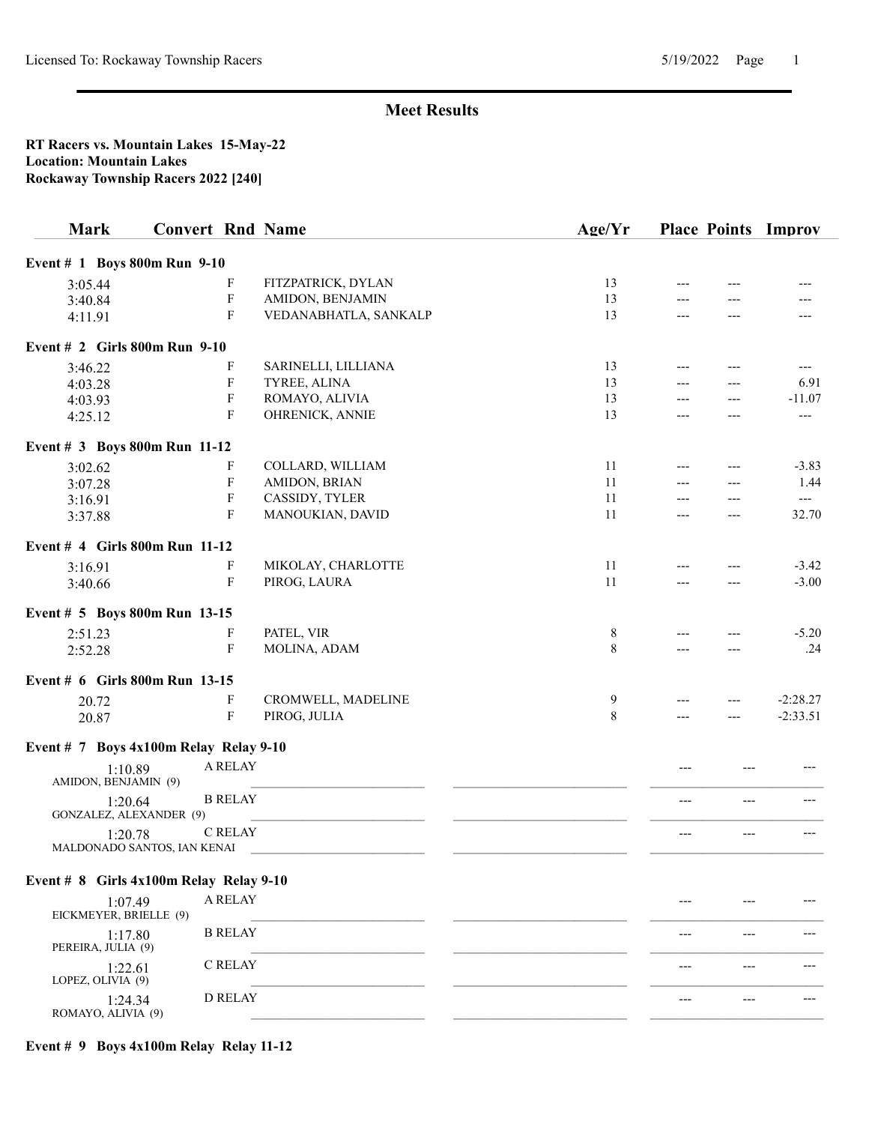#### RT Racers vs. Mountain Lakes 15-May-22 Location: Mountain Lakes Rockaway Township Racers 2022 [240]

| <b>Mark</b>                                 | <b>Convert Rnd Name</b> |                           |                       | Age/Yr |       |       | <b>Place Points Improv</b> |
|---------------------------------------------|-------------------------|---------------------------|-----------------------|--------|-------|-------|----------------------------|
| Event # 1 Boys 800m Run 9-10                |                         |                           |                       |        |       |       |                            |
| 3:05.44                                     |                         | F                         | FITZPATRICK, DYLAN    | 13     |       |       |                            |
| 3:40.84                                     |                         | $\boldsymbol{\mathrm{F}}$ | AMIDON, BENJAMIN      | 13     | ---   |       |                            |
| 4:11.91                                     |                         | F                         | VEDANABHATLA, SANKALP | 13     | ---   | ---   | ---                        |
| Event # 2 Girls 800m Run 9-10               |                         |                           |                       |        |       |       |                            |
| 3:46.22                                     |                         | F                         | SARINELLI, LILLIANA   | 13     | ---   |       | ---                        |
| 4:03.28                                     |                         | F                         | TYREE, ALINA          | 13     | ---   | ---   | 6.91                       |
| 4:03.93                                     |                         | F                         | ROMAYO, ALIVIA        | 13     | ---   | ---   | $-11.07$                   |
| 4:25.12                                     |                         | F                         | OHRENICK, ANNIE       | 13     | ---   | ---   | $---$                      |
| Event # 3 Boys 800m Run 11-12               |                         |                           |                       |        |       |       |                            |
| 3:02.62                                     |                         | F                         | COLLARD, WILLIAM      | 11     | ---   | ---   | $-3.83$                    |
| 3:07.28                                     |                         | $\boldsymbol{\mathrm{F}}$ | AMIDON, BRIAN         | 11     | $---$ |       | 1.44                       |
| 3:16.91                                     |                         | F                         | CASSIDY, TYLER        | 11     | $---$ | $---$ | $---$                      |
| 3:37.88                                     |                         | $\boldsymbol{\mathrm{F}}$ | MANOUKIAN, DAVID      | 11     | ---   |       | 32.70                      |
| Event # 4 Girls 800m Run 11-12              |                         |                           |                       |        |       |       |                            |
| 3:16.91                                     |                         | $\boldsymbol{\mathrm{F}}$ | MIKOLAY, CHARLOTTE    | 11     | ---   | ---   | $-3.42$                    |
| 3:40.66                                     |                         | $\boldsymbol{\mathrm{F}}$ | PIROG, LAURA          | 11     | ---   | $---$ | $-3.00$                    |
| Event # 5 Boys 800m Run 13-15               |                         |                           |                       |        |       |       |                            |
| 2:51.23                                     |                         | F                         | PATEL, VIR            | 8      |       |       | $-5.20$                    |
| 2:52.28                                     |                         | $\boldsymbol{\mathrm{F}}$ | MOLINA, ADAM          | 8      |       |       | .24                        |
| Event # 6 Girls 800m Run 13-15              |                         |                           |                       |        |       |       |                            |
| 20.72                                       |                         | F                         | CROMWELL, MADELINE    | 9      | ---   | ---   | $-2:28.27$                 |
| 20.87                                       |                         | $\boldsymbol{\mathrm{F}}$ | PIROG, JULIA          | 8      | ---   | ---   | $-2:33.51$                 |
| Event # $7$ Boys 4x100m Relay Relay 9-10    |                         |                           |                       |        |       |       |                            |
| 1:10.89                                     |                         | A RELAY                   |                       |        |       |       | $---$                      |
| AMIDON, BENJAMIN (9)<br>1:20.64             |                         | <b>B RELAY</b>            |                       |        | ---   | $---$ | ---                        |
| GONZALEZ, ALEXANDER (9)<br>1:20.78          |                         | <b>C RELAY</b>            |                       |        | ---   | $---$ | $---$                      |
| MALDONADO SANTOS, IAN KENAI                 |                         |                           |                       |        |       |       |                            |
| Event $# 8$ Girls $4x100m$ Relay Relay 9-10 |                         |                           |                       |        |       |       |                            |
| 1:07.49<br>EICKMEYER, BRIELLE (9)           |                         | A RELAY                   |                       |        |       |       |                            |
| 1:17.80<br>PEREIRA, JULIA (9)               |                         | <b>B RELAY</b>            |                       |        |       |       |                            |
| 1:22.61                                     |                         | C RELAY                   |                       |        |       |       |                            |
| LOPEZ, OLIVIA (9)<br>1:24.34                |                         | <b>D RELAY</b>            |                       |        |       |       |                            |
| ROMAYO, ALIVIA (9)                          |                         |                           |                       |        |       |       |                            |

### Event # 9 Boys 4x100m Relay Relay 11-12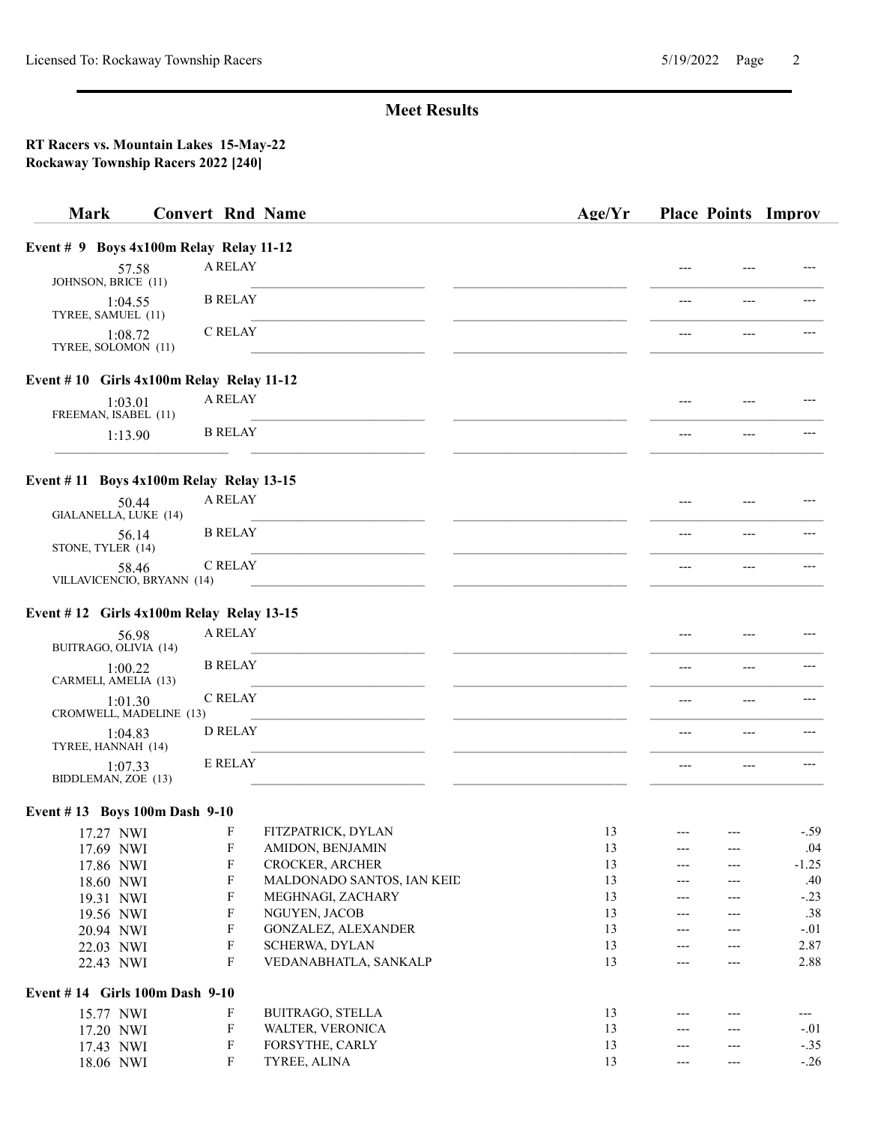| <b>Mark</b>                                   | <b>Convert Rnd Name</b>   |                            | Age/Yr |       |       | <b>Place Points Improv</b> |
|-----------------------------------------------|---------------------------|----------------------------|--------|-------|-------|----------------------------|
| Event $# 9$ Boys $4x100m$ Relay Relay 11-12   |                           |                            |        |       |       |                            |
| 57.58<br>JOHNSON, BRICE (11)                  | A RELAY                   |                            |        | $---$ |       |                            |
| 1:04.55<br>TYREE, SAMUEL (11)                 | <b>B RELAY</b>            |                            |        | ---   | $---$ |                            |
| 1:08.72<br>TYREE, SOLOMON (11)                | C RELAY                   |                            |        | $---$ | $---$ |                            |
| Event $# 10$ Girls $4x100m$ Relay Relay 11-12 |                           |                            |        |       |       |                            |
| 1:03.01<br>FREEMAN, ISABEL (11)               | A RELAY                   |                            |        |       |       |                            |
| 1:13.90                                       | <b>B RELAY</b>            |                            |        | ---   | ---   |                            |
| Event $# 11$ Boys $4x100m$ Relay Relay 13-15  |                           |                            |        |       |       |                            |
| 50.44<br>GIALANELLA, LUKE (14)                | A RELAY                   |                            |        |       |       |                            |
| 56.14<br>STONE, TYLER (14)                    | <b>B RELAY</b>            |                            |        | ---   | ---   |                            |
| 58.46<br>VILLAVICENCIO, BRYANN (14)           | C RELAY                   |                            |        |       |       |                            |
| Event $# 12$ Girls $4x100m$ Relay Relay 13-15 |                           |                            |        |       |       |                            |
| 56.98<br>BUITRAGO, OLIVIA (14)                | A RELAY                   |                            |        | ---   | ---   |                            |
| 1:00.22<br>CARMELI, AMELIA (13)               | <b>B RELAY</b>            |                            |        | ---   | ---   |                            |
| 1:01.30<br>CROMWELL, MADELINE (13)            | C RELAY                   |                            |        | $---$ | $---$ |                            |
| 1:04.83<br>TYREE, HANNAH (14)                 | <b>D RELAY</b>            |                            |        | $---$ | ---   |                            |
| 1:07.33<br>BIDDLEMAN, ZOE (13)                | <b>E RELAY</b>            |                            |        | $---$ | ---   |                            |
| Event #13 Boys 100m Dash 9-10                 |                           |                            |        |       |       |                            |
| 17.27 NWI                                     | F                         | FITZPATRICK, DYLAN         | 13     | $--$  |       | $-.59$                     |
| 17.69 NWI                                     | $\boldsymbol{\mathrm{F}}$ | AMIDON, BENJAMIN           | 13     | ---   |       | .04                        |
| 17.86 NWI                                     | $\boldsymbol{\mathrm{F}}$ | CROCKER, ARCHER            | 13     | ---   |       | $-1.25$                    |
| 18.60 NWI                                     | $\boldsymbol{\mathrm{F}}$ | MALDONADO SANTOS, IAN KEID | 13     | ---   |       | .40                        |
| 19.31 NWI                                     | $\boldsymbol{\mathrm{F}}$ | MEGHNAGI, ZACHARY          | 13     | ---   | ---   | $-.23$                     |
| 19.56 NWI                                     | F                         | NGUYEN, JACOB              | 13     | ---   | ---   | .38                        |
| 20.94 NWI                                     | F                         | GONZALEZ, ALEXANDER        | 13     | ---   |       | $-.01$                     |
| 22.03 NWI                                     | F                         | SCHERWA, DYLAN             | 13     | ---   | ---   | 2.87                       |
| 22.43 NWI                                     | $\boldsymbol{\mathrm{F}}$ | VEDANABHATLA, SANKALP      | 13     | ---   | ---   | 2.88                       |
| Event #14 Girls 100m Dash 9-10                |                           |                            |        |       |       |                            |
| 15.77 NWI                                     | F                         | <b>BUITRAGO, STELLA</b>    | 13     | ---   |       | ---                        |
| 17.20 NWI                                     | $\boldsymbol{\mathrm{F}}$ | WALTER, VERONICA           | 13     | ---   | ---   | $-.01$                     |
| 17.43 NWI                                     | $\mathbf F$               | FORSYTHE, CARLY            | 13     | ---   | ---   | $-.35$                     |
| 18.06 NWI                                     | F                         | TYREE, ALINA               | 13     |       |       | $-.26$                     |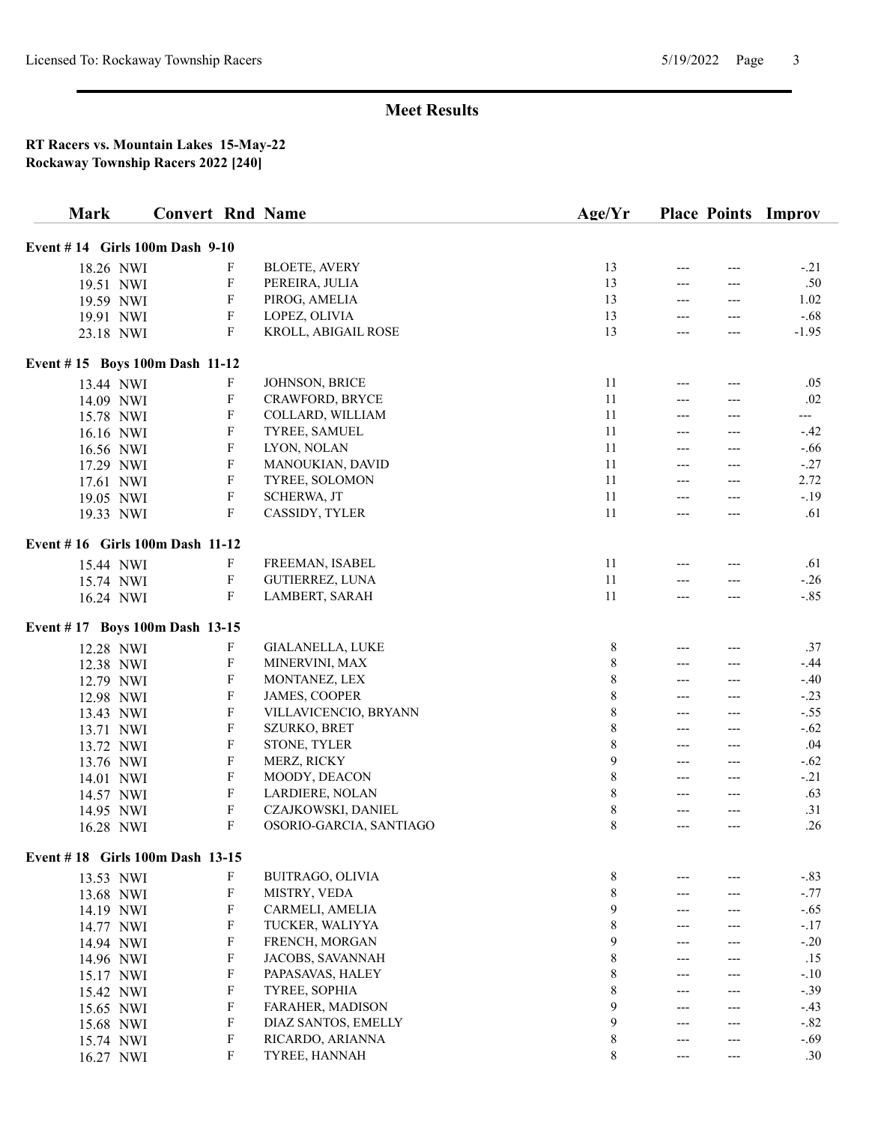| <b>Mark</b>                     | <b>Convert Rnd Name</b> |                           |                         | Age/Yr      |       |       | <b>Place Points Improv</b> |
|---------------------------------|-------------------------|---------------------------|-------------------------|-------------|-------|-------|----------------------------|
| Event #14 Girls 100m Dash 9-10  |                         |                           |                         |             |       |       |                            |
| 18.26 NWI                       |                         | F                         | <b>BLOETE, AVERY</b>    | 13          | $---$ |       | $-.21$                     |
| 19.51 NWI                       |                         | F                         | PEREIRA, JULIA          | 13          | ---   | ---   | .50                        |
| 19.59 NWI                       |                         | F                         | PIROG, AMELIA           | 13          | ---   | ---   | 1.02                       |
| 19.91 NWI                       |                         | F                         | LOPEZ, OLIVIA           | 13          | $---$ | $---$ | $-.68$                     |
|                                 |                         | F                         | KROLL, ABIGAIL ROSE     | 13          | $---$ | ---   | $-1.95$                    |
| 23.18 NWI                       |                         |                           |                         |             |       |       |                            |
| Event #15 Boys 100m Dash 11-12  |                         |                           |                         |             |       |       |                            |
| 13.44 NWI                       |                         | F                         | JOHNSON, BRICE          | 11          | $---$ |       | .05                        |
| 14.09 NWI                       |                         | $\boldsymbol{\mathrm{F}}$ | CRAWFORD, BRYCE         | 11          | ---   |       | .02                        |
| 15.78 NWI                       |                         | F                         | COLLARD, WILLIAM        | 11          | ---   |       | ---                        |
| 16.16 NWI                       |                         | F                         | TYREE, SAMUEL           | 11          | $---$ | ---   | $-.42$                     |
| 16.56 NWI                       |                         | $\boldsymbol{\mathrm{F}}$ | LYON, NOLAN             | 11          | $---$ | ---   | $-.66$                     |
| 17.29 NWI                       |                         | F                         | MANOUKIAN, DAVID        | 11          | $---$ | ---   | $-.27$                     |
| 17.61 NWI                       |                         | $\boldsymbol{\mathrm{F}}$ | TYREE, SOLOMON          | 11          | ---   | ---   | 2.72                       |
| 19.05 NWI                       |                         | F                         | SCHERWA, JT             | 11          | $---$ | $---$ | $-.19$                     |
| 19.33 NWI                       |                         | F                         | CASSIDY, TYLER          | 11          | $---$ | ---   | .61                        |
| Event #16 Girls 100m Dash 11-12 |                         |                           |                         |             |       |       |                            |
| 15.44 NWI                       |                         | F                         | FREEMAN, ISABEL         | 11          |       |       | .61                        |
| 15.74 NWI                       |                         | $\boldsymbol{\mathrm{F}}$ | GUTIERREZ, LUNA         | 11          | $---$ | ---   | $-.26$                     |
| 16.24 NWI                       |                         | F                         | LAMBERT, SARAH          | 11          | $---$ | ---   | $-.85$                     |
|                                 |                         |                           |                         |             |       |       |                            |
| Event #17 Boys 100m Dash 13-15  |                         |                           |                         |             |       |       |                            |
| 12.28 NWI                       |                         | F                         | GIALANELLA, LUKE        | 8           | ---   |       | .37                        |
| 12.38 NWI                       |                         | F                         | MINERVINI, MAX          | 8           | $---$ | ---   | $-.44$                     |
| 12.79 NWI                       |                         | F                         | MONTANEZ, LEX           | $\,$ $\,$   | $---$ | ---   | $-.40$                     |
| 12.98 NWI                       |                         | $\boldsymbol{\mathrm{F}}$ | JAMES, COOPER           | $\,$ $\,$   | $---$ | ---   | $-.23$                     |
| 13.43 NWI                       |                         | F                         | VILLAVICENCIO, BRYANN   | $\,$ $\,$   | $---$ | ---   | $-.55$                     |
| 13.71 NWI                       |                         | F                         | SZURKO, BRET            | $\,$ $\,$   | $---$ | $---$ | $-.62$                     |
| 13.72 NWI                       |                         | F                         | STONE, TYLER            | $\,$ 8 $\,$ | ---   | ---   | .04                        |
| 13.76 NWI                       |                         | F                         | MERZ, RICKY             | 9           | $---$ | ---   | $-.62$                     |
| 14.01 NWI                       |                         | F                         | MOODY, DEACON           | 8           | $---$ | $---$ | $-.21$                     |
| 14.57 NWI                       |                         | F                         | LARDIERE, NOLAN         | 8           | $---$ | ---   | .63                        |
| 14.95 NWI                       |                         | F                         | CZAJKOWSKI, DANIEL      | $\,$ $\,$   | $---$ | $---$ | .31                        |
| 16.28 NWI                       |                         | F                         | OSORIO-GARCIA, SANTIAGO | 8           | $---$ | ---   | .26                        |
| Event #18 Girls 100m Dash 13-15 |                         |                           |                         |             |       |       |                            |
| 13.53 NWI                       |                         | F                         | BUITRAGO, OLIVIA        | 8           |       |       | $-.83$                     |
| 13.68 NWI                       |                         | F                         | MISTRY, VEDA            | $\,$ 8 $\,$ | $---$ |       | $-.77$                     |
| 14.19 NWI                       |                         | $\boldsymbol{\mathrm{F}}$ | CARMELI, AMELIA         | 9           | ---   |       | $-.65$                     |
| 14.77 NWI                       |                         | $\boldsymbol{\mathrm{F}}$ | TUCKER, WALIYYA         | $\,$ 8 $\,$ | ---   |       | $-.17$                     |
| 14.94 NWI                       |                         | $\boldsymbol{\mathrm{F}}$ | FRENCH, MORGAN          | 9           | ---   | ---   | $-.20$                     |
| 14.96 NWI                       |                         | $\boldsymbol{\mathrm{F}}$ | JACOBS, SAVANNAH        | $\,$ $\,$   | $---$ | ---   | .15                        |
| 15.17 NWI                       |                         | F                         | PAPASAVAS, HALEY        | $\,$ $\,$   | ---   |       | $-.10$                     |
| 15.42 NWI                       |                         | F                         | TYREE, SOPHIA           | $\,$ $\,$   | ---   |       | $-.39$                     |
| 15.65 NWI                       |                         | F                         | FARAHER, MADISON        | 9           | ---   |       | $-.43$                     |
| 15.68 NWI                       |                         | F                         | DIAZ SANTOS, EMELLY     | 9           | $---$ | ---   | $-.82$                     |
| 15.74 NWI                       |                         | F                         | RICARDO, ARIANNA        | 8           | $---$ | ---   | $-.69$                     |
| 16.27 NWI                       |                         | F                         | TYREE, HANNAH           | 8           | $---$ | ---   | .30                        |
|                                 |                         |                           |                         |             |       |       |                            |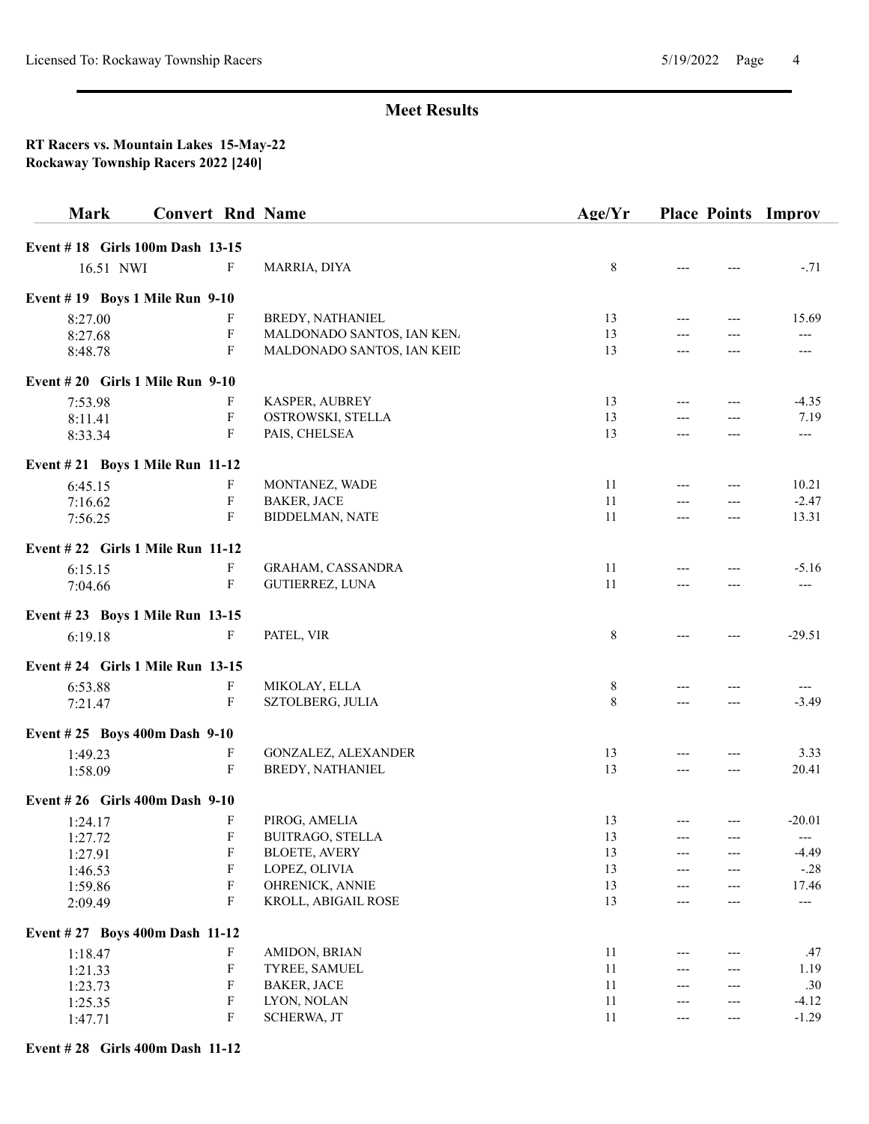### RT Racers vs. Mountain Lakes 15-May-22 Rockaway Township Racers 2022 [240]

| <b>Mark</b>                       | <b>Convert Rnd Name</b>   |                            | Age/Yr  | <b>Place Points Improv</b> |          |
|-----------------------------------|---------------------------|----------------------------|---------|----------------------------|----------|
| Event #18 Girls 100m Dash 13-15   |                           |                            |         |                            |          |
| 16.51 NWI                         | F                         | MARRIA, DIYA               | $\,8\,$ |                            | $-.71$   |
| Event #19 Boys 1 Mile Run 9-10    |                           |                            |         |                            |          |
| 8:27.00                           | F                         | BREDY, NATHANIEL           | 13      |                            | 15.69    |
| 8:27.68                           | F                         | MALDONADO SANTOS, IAN KEN. | 13      | $---$                      | $---$    |
| 8:48.78                           | $\mathbf F$               | MALDONADO SANTOS, IAN KEID | 13      | ---<br>---                 | ---      |
| Event $#20$ Girls 1 Mile Run 9-10 |                           |                            |         |                            |          |
| 7:53.98                           | F                         | KASPER, AUBREY             | 13      | $---$                      | $-4.35$  |
| 8:11.41                           | F                         | OSTROWSKI, STELLA          | 13      | $---$<br>---               | 7.19     |
| 8:33.34                           | F                         | PAIS, CHELSEA              | 13      | $---$<br>---               | $---$    |
| Event #21 Boys 1 Mile Run 11-12   |                           |                            |         |                            |          |
| 6:45.15                           | F                         | MONTANEZ, WADE             | 11      |                            | 10.21    |
| 7:16.62                           | $\boldsymbol{\mathrm{F}}$ | <b>BAKER, JACE</b>         | 11      | $---$<br>$---$             | $-2.47$  |
| 7:56.25                           | F                         | <b>BIDDELMAN, NATE</b>     | 11      | $---$                      | 13.31    |
| Event #22 Girls 1 Mile Run 11-12  |                           |                            |         |                            |          |
| 6:15.15                           | F                         | <b>GRAHAM, CASSANDRA</b>   | 11      |                            | $-5.16$  |
| 7:04.66                           | $\mathbf F$               | GUTIERREZ, LUNA            | 11      | ---                        | $---$    |
| Event #23 Boys 1 Mile Run 13-15   |                           |                            |         |                            |          |
| 6:19.18                           | F                         | PATEL, VIR                 | 8       | $---$                      | $-29.51$ |
| Event #24 Girls 1 Mile Run 13-15  |                           |                            |         |                            |          |
| 6:53.88                           | F                         | MIKOLAY, ELLA              | 8       | $---$                      |          |
| 7:21.47                           | $\mathbf F$               | SZTOLBERG, JULIA           | 8       | $---$                      | $-3.49$  |
| Event #25 Boys 400m Dash 9-10     |                           |                            |         |                            |          |
| 1:49.23                           | F                         | GONZALEZ, ALEXANDER        | 13      |                            | 3.33     |
| 1:58.09                           | $\mathbf F$               | BREDY, NATHANIEL           | 13      | $---$<br>$---$             | 20.41    |
| Event #26 Girls 400m Dash 9-10    |                           |                            |         |                            |          |
| 1:24.17                           | F                         | PIROG, AMELIA              | 13      | $---$<br>$---$             | $-20.01$ |
| 1:27.72                           | F                         | BUITRAGO, STELLA           | 13      |                            |          |
| 1:27.91                           | F                         | <b>BLOETE, AVERY</b>       | 13      |                            | $-4.49$  |
| 1:46.53                           | F                         | LOPEZ, OLIVIA              | 13      | ---                        | $-.28$   |
| 1:59.86                           | F                         | OHRENICK, ANNIE            | 13      | ---                        | 17.46    |
| 2:09.49                           | F                         | KROLL, ABIGAIL ROSE        | 13      |                            | $---$    |
| Event #27 Boys 400m Dash 11-12    |                           |                            |         |                            |          |
| 1:18.47                           | F                         | AMIDON, BRIAN              | 11      |                            | .47      |
| 1:21.33                           | F                         | TYREE, SAMUEL              | 11      |                            | 1.19     |
| 1:23.73                           | F                         | <b>BAKER, JACE</b>         | 11      | ---                        | .30      |
| 1:25.35                           | ${\bf F}$                 | LYON, NOLAN                | $11\,$  | ---                        | $-4.12$  |
| 1:47.71                           | F                         | SCHERWA, JT                | 11      | ---<br>$---$               | $-1.29$  |

#### Event # 28 Girls 400m Dash 11-12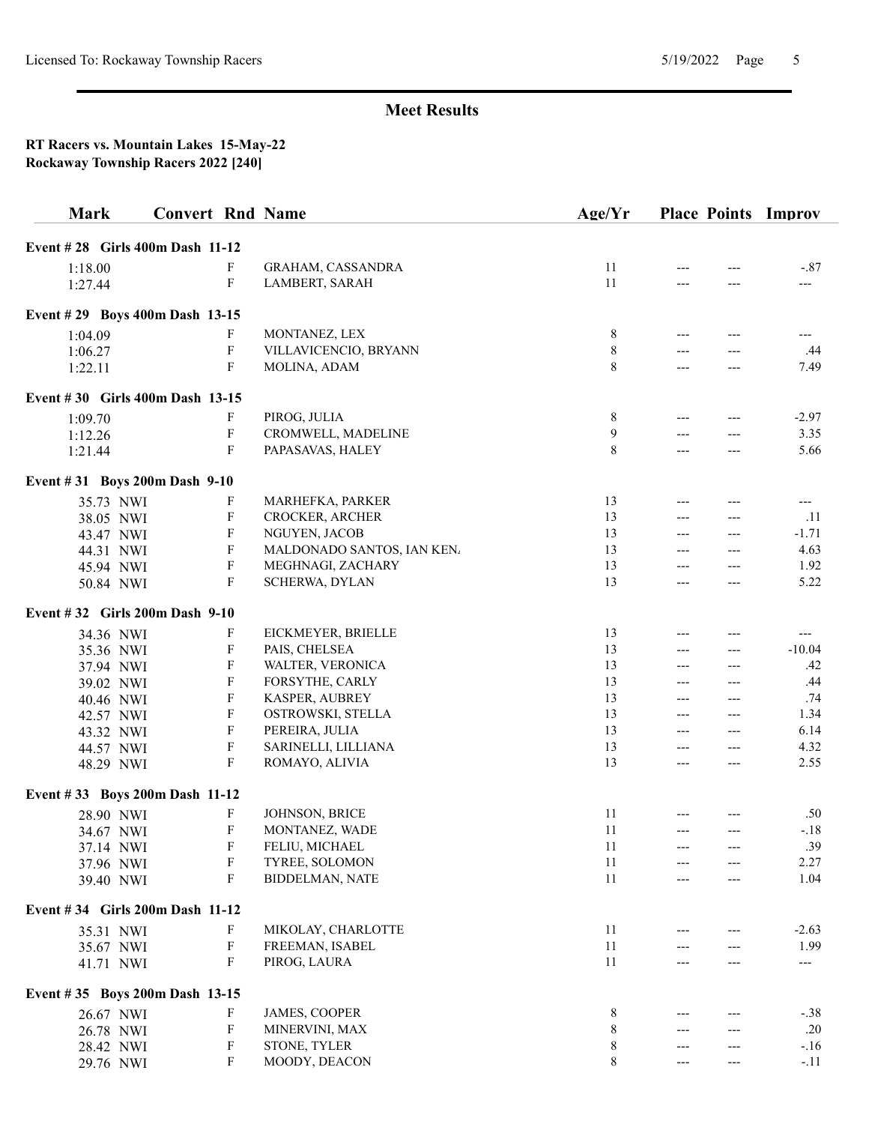| <b>Mark</b>                     | <b>Convert Rnd Name</b> |                           |                            | Age/Yr      |       |       | <b>Place Points Improv</b> |
|---------------------------------|-------------------------|---------------------------|----------------------------|-------------|-------|-------|----------------------------|
| Event #28 Girls 400m Dash 11-12 |                         |                           |                            |             |       |       |                            |
| 1:18.00                         |                         | F                         | GRAHAM, CASSANDRA          | 11          |       |       | $-.87$                     |
| 1:27.44                         |                         | F                         | LAMBERT, SARAH             | 11          | ---   | $---$ | $---$                      |
|                                 |                         |                           |                            |             |       |       |                            |
| Event #29 Boys 400m Dash 13-15  |                         |                           |                            |             |       |       |                            |
| 1:04.09                         |                         | F                         | MONTANEZ, LEX              | 8           | ---   | ---   | ---                        |
| 1:06.27                         |                         | $\boldsymbol{\mathrm{F}}$ | VILLAVICENCIO, BRYANN      | $\,$ 8 $\,$ | ---   |       | .44                        |
| 1:22.11                         |                         | F                         | MOLINA, ADAM               | 8           | $---$ | ---   | 7.49                       |
| Event #30 Girls 400m Dash 13-15 |                         |                           |                            |             |       |       |                            |
| 1:09.70                         |                         | F                         | PIROG, JULIA               | 8           | ---   | ---   | $-2.97$                    |
| 1:12.26                         |                         | $\boldsymbol{\mathrm{F}}$ | CROMWELL, MADELINE         | 9           | ---   | ---   | 3.35                       |
| 1:21.44                         |                         | $\mathbf{F}$              | PAPASAVAS, HALEY           | 8           | ---   | $---$ | 5.66                       |
| Event #31 Boys 200m Dash 9-10   |                         |                           |                            |             |       |       |                            |
| 35.73 NWI                       |                         | F                         | MARHEFKA, PARKER           | 13          | ---   | ---   | $---$                      |
| 38.05 NWI                       |                         | $\mathbf F$               | CROCKER, ARCHER            | 13          | $---$ | $---$ | .11                        |
| 43.47 NWI                       |                         | $\mathbf F$               | NGUYEN, JACOB              | 13          | $---$ | ---   | $-1.71$                    |
| 44.31 NWI                       |                         | $\boldsymbol{\mathrm{F}}$ | MALDONADO SANTOS, IAN KEN. | 13          | ---   | ---   | 4.63                       |
| 45.94 NWI                       |                         | $\boldsymbol{\mathrm{F}}$ | MEGHNAGI, ZACHARY          | 13          | $---$ | ---   | 1.92                       |
| 50.84 NWI                       |                         | $\mathbf{F}$              | SCHERWA, DYLAN             | 13          | ---   | ---   | 5.22                       |
| Event #32 Girls 200m Dash 9-10  |                         |                           |                            |             |       |       |                            |
| 34.36 NWI                       |                         | F                         | EICKMEYER, BRIELLE         | 13          | ---   | ---   | ---                        |
| 35.36 NWI                       |                         | $\mathbf{F}$              | PAIS, CHELSEA              | 13          | $---$ | ---   | $-10.04$                   |
| 37.94 NWI                       |                         | F                         | WALTER, VERONICA           | 13          | ---   | ---   | .42                        |
| 39.02 NWI                       |                         | $\mathbf{F}$              | FORSYTHE, CARLY            | 13          | $---$ | ---   | .44                        |
| 40.46 NWI                       |                         | $\mathbf{F}$              | KASPER, AUBREY             | 13          | $---$ | ---   | .74                        |
| 42.57 NWI                       |                         | $\boldsymbol{\mathrm{F}}$ | OSTROWSKI, STELLA          | 13          | $---$ | ---   | 1.34                       |
| 43.32 NWI                       |                         | $\boldsymbol{\mathrm{F}}$ | PEREIRA, JULIA             | 13          | $---$ | ---   | 6.14                       |
| 44.57 NWI                       |                         | $\boldsymbol{\mathrm{F}}$ | SARINELLI, LILLIANA        | 13          | $---$ | ---   | 4.32                       |
| 48.29 NWI                       |                         | $\mathbf{F}$              | ROMAYO, ALIVIA             | 13          | ---   | ---   | 2.55                       |
| Event #33 Boys 200m Dash 11-12  |                         |                           |                            |             |       |       |                            |
| 28.90 NWI                       |                         | $\boldsymbol{\mathrm{F}}$ | JOHNSON, BRICE             | 11          |       |       | .50                        |
| 34.67 NWI                       |                         | $\boldsymbol{\mathrm{F}}$ | MONTANEZ, WADE             | 11          | $---$ | $---$ | $-.18$                     |
|                                 |                         | F                         | FELIU, MICHAEL             | 11          |       |       | .39                        |
| 37.14 NWI<br>37.96 NWI          |                         | ${\bf F}$                 | TYREE, SOLOMON             | 11          |       |       | 2.27                       |
| 39.40 NWI                       |                         | $\boldsymbol{\mathrm{F}}$ | <b>BIDDELMAN, NATE</b>     | 11          | ---   |       | 1.04                       |
| Event #34 Girls 200m Dash 11-12 |                         |                           |                            |             |       |       |                            |
| 35.31 NWI                       |                         | F                         | MIKOLAY, CHARLOTTE         | 11          |       |       | $-2.63$                    |
|                                 |                         | $\boldsymbol{\mathrm{F}}$ | FREEMAN, ISABEL            | 11          |       |       | 1.99                       |
| 35.67 NWI                       |                         | F                         | PIROG, LAURA               | 11          |       |       | ---                        |
| 41.71 NWI                       |                         |                           |                            |             |       |       |                            |
| Event #35 Boys 200m Dash 13-15  |                         |                           |                            |             |       |       |                            |
| 26.67 NWI                       |                         | F                         | JAMES, COOPER              | 8           |       |       | $-.38$                     |
| 26.78 NWI                       |                         | $\boldsymbol{\mathrm{F}}$ | MINERVINI, MAX             | $\,8\,$     |       |       | .20                        |
| 28.42 NWI                       |                         | $\boldsymbol{\mathrm{F}}$ | STONE, TYLER               | 8           | ---   |       | $-.16$                     |
| 29.76 NWI                       |                         | F                         | MOODY, DEACON              | 8           | ---   | ---   | $-.11$                     |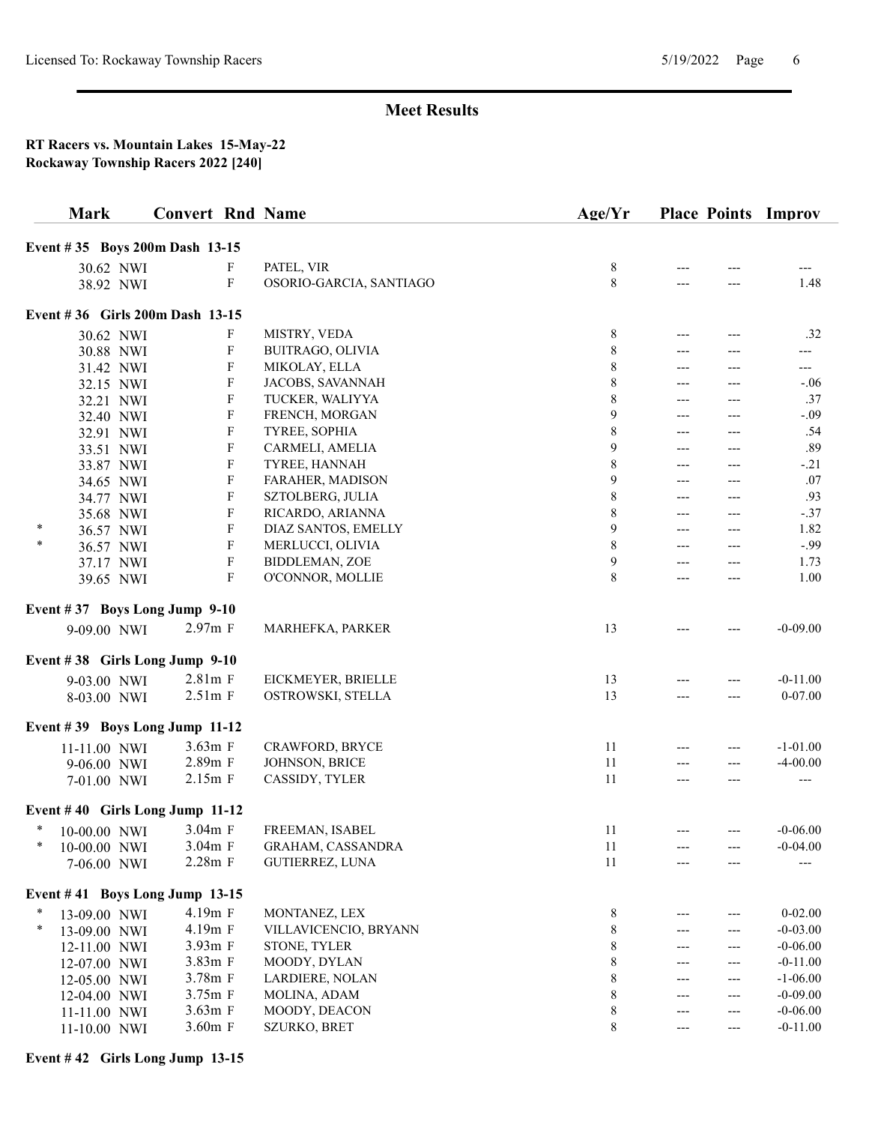### RT Racers vs. Mountain Lakes 15-May-22 Rockaway Township Racers 2022 [240]

|        | <b>Mark</b>  |           |                                 |                                        | <b>Convert Rnd Name</b>                 | Age/Yr         |              |              | <b>Place Points Improv</b> |
|--------|--------------|-----------|---------------------------------|----------------------------------------|-----------------------------------------|----------------|--------------|--------------|----------------------------|
|        |              |           | Event #35 Boys 200m Dash 13-15  |                                        |                                         |                |              |              |                            |
|        |              | 30.62 NWI |                                 | F                                      | PATEL, VIR                              | 8              |              |              |                            |
|        |              | 38.92 NWI |                                 | F                                      | OSORIO-GARCIA, SANTIAGO                 | 8              | ---          | ---          | 1.48                       |
|        |              |           | Event #36 Girls 200m Dash 13-15 |                                        |                                         |                |              |              |                            |
|        |              |           |                                 |                                        |                                         |                |              |              |                            |
|        |              | 30.62 NWI |                                 | F                                      | MISTRY, VEDA                            | 8              | ---          |              | .32                        |
|        |              | 30.88 NWI |                                 | F                                      | BUITRAGO, OLIVIA                        | $\,$ 8 $\,$    | $---$        | $---$        | ---                        |
|        |              | 31.42 NWI |                                 | F                                      | MIKOLAY, ELLA                           | 8              | $---$        | ---          | ---                        |
|        |              | 32.15 NWI |                                 | F                                      | JACOBS, SAVANNAH                        | 8              | $---$        |              | $-.06$                     |
|        |              | 32.21 NWI |                                 | F                                      | TUCKER, WALIYYA                         | 8              | ---          | ---          | .37                        |
|        |              | 32.40 NWI |                                 | F                                      | FRENCH, MORGAN                          | 9              | ---          |              | $-.09$                     |
|        |              | 32.91 NWI |                                 | F                                      | TYREE, SOPHIA                           | $\,$ $\,$      | $---$        | $---$        | .54                        |
|        |              | 33.51 NWI |                                 | $\boldsymbol{\mathrm{F}}$<br>${\bf F}$ | CARMELI, AMELIA                         | 9<br>$\,$ $\,$ | ---          | ---          | .89                        |
|        |              | 33.87 NWI |                                 |                                        | TYREE, HANNAH                           |                | $---$        | ---          | $-.21$                     |
|        |              | 34.65 NWI |                                 | ${\bf F}$<br>F                         | FARAHER, MADISON                        | 9              | ---<br>$---$ | ---          | .07<br>.93                 |
|        |              | 34.77 NWI |                                 | F                                      | SZTOLBERG, JULIA                        | 8              |              | $---$        | $-.37$                     |
| *      |              | 35.68 NWI |                                 | F                                      | RICARDO, ARIANNA<br>DIAZ SANTOS, EMELLY | 8<br>9         | ---<br>---   | ---          | 1.82                       |
| *      |              | 36.57 NWI |                                 | F                                      | MERLUCCI, OLIVIA                        | 8              | $---$        | ---<br>$---$ | $-.99$                     |
|        |              | 36.57 NWI |                                 | $\boldsymbol{\mathrm{F}}$              | BIDDLEMAN, ZOE                          | 9              |              |              | 1.73                       |
|        |              | 37.17 NWI |                                 | $\mathbf F$                            | O'CONNOR, MOLLIE                        | 8              | ---<br>---   | ---          | 1.00                       |
|        |              | 39.65 NWI |                                 |                                        |                                         |                |              |              |                            |
|        |              |           | Event #37 Boys Long Jump 9-10   |                                        |                                         |                |              |              |                            |
|        | 9-09.00 NWI  |           |                                 | $2.97m$ F                              | MARHEFKA, PARKER                        | 13             |              |              | $-0-09.00$                 |
|        |              |           | Event #38 Girls Long Jump 9-10  |                                        |                                         |                |              |              |                            |
|        | 9-03.00 NWI  |           |                                 | $2.81m$ F                              | EICKMEYER, BRIELLE                      | 13             |              | ---          | $-0-11.00$                 |
|        | 8-03.00 NWI  |           |                                 | $2.51m$ F                              | OSTROWSKI, STELLA                       | 13             |              | ---          | $0 - 07.00$                |
|        |              |           | Event #39 Boys Long Jump 11-12  |                                        |                                         |                |              |              |                            |
|        | 11-11.00 NWI |           |                                 | 3.63m F                                | CRAWFORD, BRYCE                         | 11             | ---          | ---          | $-1 - 01.00$               |
|        | 9-06.00 NWI  |           |                                 | 2.89m F                                | JOHNSON, BRICE                          | 11             | $---$        | $---$        | $-4 - 00.00$               |
|        | 7-01.00 NWI  |           |                                 | $2.15m$ F                              | CASSIDY, TYLER                          | 11             | $---$        | ---          | ---                        |
|        |              |           | Event #40 Girls Long Jump 11-12 |                                        |                                         |                |              |              |                            |
| ∗      | 10-00.00 NWI |           |                                 | 3.04m F                                | FREEMAN, ISABEL                         | 11             | ---          | $---$        | $-0-06.00$                 |
| $\ast$ | 10-00.00 NWI |           |                                 | 3.04m F                                | GRAHAM, CASSANDRA                       | 11             |              |              | $-0-04.00$                 |
|        | 7-06.00 NWI  |           |                                 | 2.28m F                                | GUTIERREZ, LUNA                         | 11             |              |              |                            |
|        |              |           | Event #41 Boys Long Jump 13-15  |                                        |                                         |                |              |              |                            |
|        | 13-09.00 NWI |           |                                 | 4.19m F                                | MONTANEZ, LEX                           | 8              | ---          | ---          | $0 - 02.00$                |
| $\ast$ | 13-09.00 NWI |           |                                 | 4.19m F                                | VILLAVICENCIO, BRYANN                   | 8              | ---          | ---          | $-0 - 03.00$               |
|        | 12-11.00 NWI |           |                                 | 3.93m F                                | STONE, TYLER                            | 8              | ---          | ---          | $-0 - 06.00$               |
|        | 12-07.00 NWI |           |                                 | 3.83m F                                | MOODY, DYLAN                            | 8              | ---          | ---          | $-0-11.00$                 |
|        | 12-05.00 NWI |           |                                 | 3.78m F                                | LARDIERE, NOLAN                         | 8              | ---          | ---          | $-1 - 06.00$               |
|        | 12-04.00 NWI |           |                                 | 3.75m F                                | MOLINA, ADAM                            | $\,$ 8 $\,$    | ---          | ---          | $-0-09.00$                 |
|        | 11-11.00 NWI |           |                                 | 3.63m F                                | MOODY, DEACON                           | 8              | ---          | ---          | $-0-06.00$                 |
|        | 11-10.00 NWI |           |                                 | 3.60m F                                | SZURKO, BRET                            | $\,$ 8 $\,$    | ---          | ---          | $-0-11.00$                 |

## Event # 42 Girls Long Jump 13-15